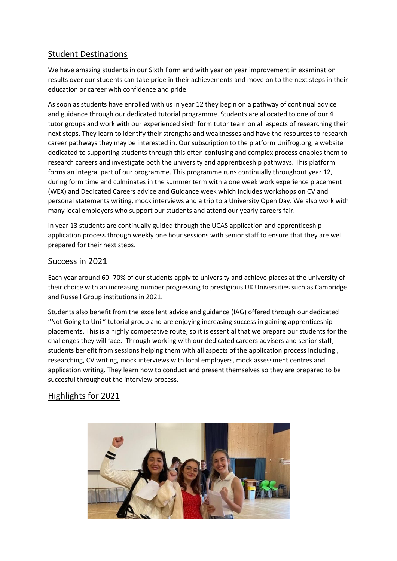## Student Destinations

We have amazing students in our Sixth Form and with year on year improvement in examination results over our students can take pride in their achievements and move on to the next steps in their education or career with confidence and pride.

As soon as students have enrolled with us in year 12 they begin on a pathway of continual advice and guidance through our dedicated tutorial programme. Students are allocated to one of our 4 tutor groups and work with our experienced sixth form tutor team on all aspects of researching their next steps. They learn to identify their strengths and weaknesses and have the resources to research career pathways they may be interested in. Our subscription to the platform Unifrog.org, a website dedicated to supporting students through this often confusing and complex process enables them to research careers and investigate both the university and apprenticeship pathways. This platform forms an integral part of our programme. This programme runs continually throughout year 12, during form time and culminates in the summer term with a one week work experience placement (WEX) and Dedicated Careers advice and Guidance week which includes workshops on CV and personal statements writing, mock interviews and a trip to a University Open Day. We also work with many local employers who support our students and attend our yearly careers fair.

In year 13 students are continually guided through the UCAS application and apprenticeship application process through weekly one hour sessions with senior staff to ensure that they are well prepared for their next steps.

### Success in 2021

Each year around 60- 70% of our students apply to university and achieve places at the university of their choice with an increasing number progressing to prestigious UK Universities such as Cambridge and Russell Group institutions in 2021.

Students also benefit from the excellent advice and guidance (IAG) offered through our dedicated "Not Going to Uni " tutorial group and are enjoying increasing success in gaining apprenticeship placements. This is a highly competative route, so it is essential that we prepare our students for the challenges they will face. Through working with our dedicated careers advisers and senior staff, students benefit from sessions helping them with all aspects of the application process including , researching, CV writing, mock interviews with local employers, mock assessment centres and application writing. They learn how to conduct and present themselves so they are prepared to be succesful throughout the interview process.

# Highlights for 2021

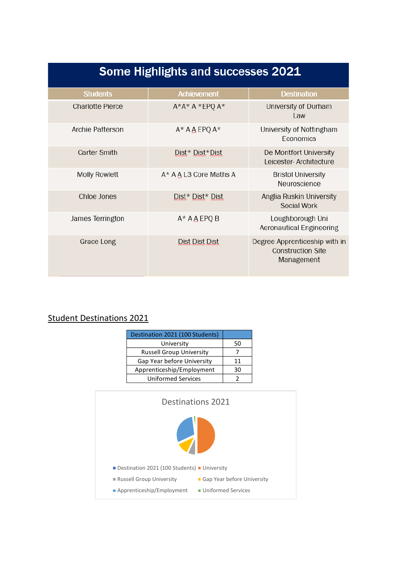| <b>Some Highlights and successes 2021</b> |                               |                                                                         |  |
|-------------------------------------------|-------------------------------|-------------------------------------------------------------------------|--|
| <b>Students</b>                           | <b>Achievement</b>            | <b>Destination</b>                                                      |  |
| <b>Charlotte Pierce</b>                   | $A^*A^*A*EPOA^*$              | University of Durham<br><b>Law</b>                                      |  |
| Archie Patterson                          | $A^*$ A A EPO $A^*$           | University of Nottingham<br>Economics                                   |  |
| Carter Smith                              | Dist* Dist*Dist               | De Montfort University<br>Leicester-Architecture                        |  |
| <b>Molly Rowlett</b>                      | A* A A L3 Core Maths A        | <b>Bristol University</b><br>Neuroscience                               |  |
| Chloe Jones                               | Dist* Dist* Dist              | Anglia Ruskin University<br>Social Work                                 |  |
| James Terrington                          | $A^*$ A $\underline{A}$ EPQ B | Loughborough Uni<br><b>Aeronautical Engineering</b>                     |  |
| Grace Long                                | Dist Dist Dist                | Degree Apprenticeship with in<br><b>Construction Site</b><br>Management |  |

# Student Destinations 2021

| Destination 2021 (100 Students) |    |
|---------------------------------|----|
| University                      | 50 |
| <b>Russell Group University</b> |    |
| Gap Year before University      | 11 |
| Apprenticeship/Employment       | 30 |
| <b>Uniformed Services</b>       |    |